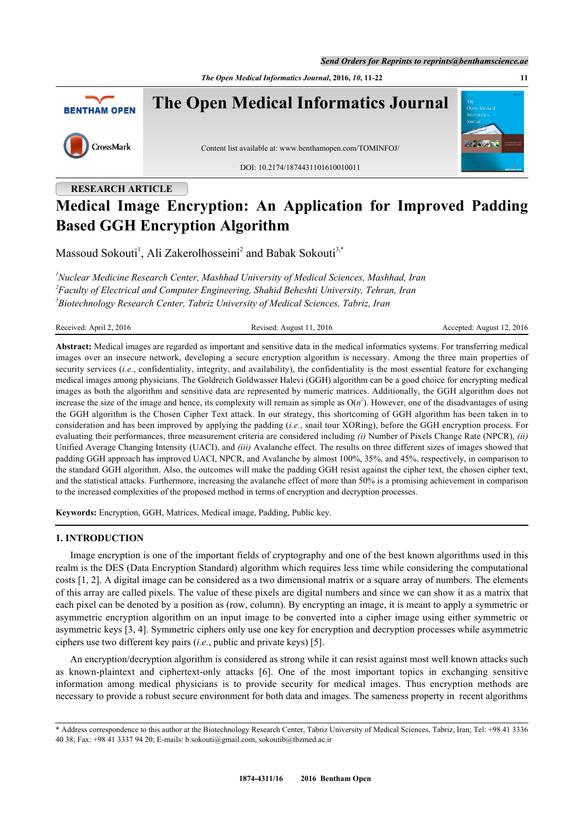*The Open Medical Informatics Journal***, 2016,** *10***, 11-22 11**



# **RESEARCH ARTICLE Medical Image Encryption: An Application for Improved Padding Based GGH Encryption Algorithm**

Massoud Sokouti<sup>[1](#page-0-0)</sup>, Ali Zakerolhosseini<sup>[2](#page-0-1)</sup> and Babak Sokouti<sup>[3,](#page-0-2)[\\*](#page-0-3)</sup>

<span id="page-0-2"></span><span id="page-0-1"></span><span id="page-0-0"></span>*<sup>1</sup>Nuclear Medicine Research Center, Mashhad University of Medical Sciences, Mashhad, Iran 2 Faculty of Electrical and Computer Engineering, Shahid Beheshti University, Tehran, Iran 3 Biotechnology Research Center, Tabriz University of Medical Sciences, Tabriz, Iran*

Received: April 2, 2016 Revised: August 11, 2016 Revised: August 11, 2016 Accepted: August 12, 2016

**Abstract:** Medical images are regarded as important and sensitive data in the medical informatics systems. For transferring medical images over an insecure network, developing a secure encryption algorithm is necessary. Among the three main properties of security services (*i.e.*, confidentiality, integrity, and availability), the confidentiality is the most essential feature for exchanging medical images among physicians. The Goldreich Goldwasser Halevi (GGH) algorithm can be a good choice for encrypting medical images as both the algorithm and sensitive data are represented by numeric matrices. Additionally, the GGH algorithm does not increase the size of the image and hence, its complexity will remain as simple as  $O(n^2)$ . However, one of the disadvantages of using the GGH algorithm is the Chosen Cipher Text attack. In our strategy, this shortcoming of GGH algorithm has been taken in to consideration and has been improved by applying the padding (*i.e.*, snail tour XORing), before the GGH encryption process. For evaluating their performances, three measurement criteria are considered including *(i)* Number of Pixels Change Rate (NPCR), *(ii)* Unified Average Changing Intensity (UACI), and *(iii)* Avalanche effect. The results on three different sizes of images showed that padding GGH approach has improved UACI, NPCR, and Avalanche by almost 100%, 35%, and 45%, respectively, in comparison to the standard GGH algorithm. Also, the outcomes will make the padding GGH resist against the cipher text, the chosen cipher text, and the statistical attacks. Furthermore, increasing the avalanche effect of more than 50% is a promising achievement in comparison to the increased complexities of the proposed method in terms of encryption and decryption processes.

**Keywords:** Encryption, GGH, Matrices, Medical image, Padding, Public key.

# **1. INTRODUCTION**

Image encryption is one of the important fields of cryptography and one of the best known algorithms used in this realm is the DES (Data Encryption Standard) algorithm which requires less time while considering the computational costs [[1,](#page-9-0) [2](#page-9-1)]. A digital image can be considered as a two dimensional matrix or a square array of numbers. The elements of this array are called pixels. The value of these pixels are digital numbers and since we can show it as a matrix that each pixel can be denoted by a position as (row, column). By encrypting an image, it is meant to apply a symmetric or asymmetric encryption algorithm on an input image to be converted into a cipher image using either symmetric or asymmetric keys [[3,](#page-10-0) [4\]](#page-10-1). Symmetric ciphers only use one key for encryption and decryption processes while asymmetric ciphers use two different key pairs (*i.e.*, public and private keys) [[5\]](#page-10-2).

An encryption/decryption algorithm is considered as strong while it can resist against most well known attacks such as known-plaintext and ciphertext-only attacks[[6\]](#page-10-3). One of the most important topics in exchanging sensitive information among medical physicians is to provide security for medical images. Thus encryption methods are necessary to provide a robust secure environment for both data and images. The sameness property in recent algorithms

<span id="page-0-3"></span><sup>\*</sup> Address correspondence to this author at the Biotechnology Research Center, Tabriz University of Medical Sciences, Tabriz, Iran; Tel: +98 41 3336 40 38; Fax: +98 41 3337 94 20; E-mails: [b.sokouti@gmail.com,](mailto:b.sokouti@gmail.com) [sokoutib@tbzmed.ac.ir](mailto:sokoutib@tbzmed.ac.ir)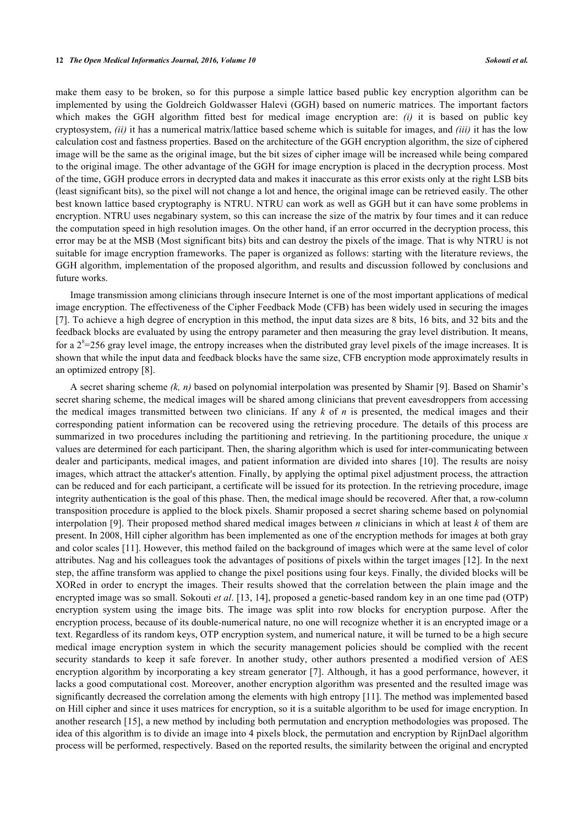make them easy to be broken, so for this purpose a simple lattice based public key encryption algorithm can be implemented by using the Goldreich Goldwasser Halevi (GGH) based on numeric matrices. The important factors which makes the GGH algorithm fitted best for medical image encryption are: *(i)* it is based on public key cryptosystem, *(ii)* it has a numerical matrix/lattice based scheme which is suitable for images, and *(iii)* it has the low calculation cost and fastness properties. Based on the architecture of the GGH encryption algorithm, the size of ciphered image will be the same as the original image, but the bit sizes of cipher image will be increased while being compared to the original image. The other advantage of the GGH for image encryption is placed in the decryption process. Most of the time, GGH produce errors in decrypted data and makes it inaccurate as this error exists only at the right LSB bits (least significant bits), so the pixel will not change a lot and hence, the original image can be retrieved easily. The other best known lattice based cryptography is NTRU. NTRU can work as well as GGH but it can have some problems in encryption. NTRU uses negabinary system, so this can increase the size of the matrix by four times and it can reduce the computation speed in high resolution images. On the other hand, if an error occurred in the decryption process, this error may be at the MSB (Most significant bits) bits and can destroy the pixels of the image. That is why NTRU is not suitable for image encryption frameworks. The paper is organized as follows: starting with the literature reviews, the GGH algorithm, implementation of the proposed algorithm, and results and discussion followed by conclusions and future works.

Image transmission among clinicians through insecure Internet is one of the most important applications of medical image encryption. The effectiveness of the Cipher Feedback Mode (CFB) has been widely used in securing the images [\[7](#page-10-4)]. To achieve a high degree of encryption in this method, the input data sizes are 8 bits, 16 bits, and 32 bits and the feedback blocks are evaluated by using the entropy parameter and then measuring the gray level distribution. It means, for a  $2^{8}$ =256 gray level image, the entropy increases when the distributed gray level pixels of the image increases. It is shown that while the input data and feedback blocks have the same size, CFB encryption mode approximately results in an optimized entropy [[8\]](#page-10-5).

A secret sharing scheme *(k, n)* based on polynomial interpolation was presented by Shamir [\[9](#page-10-6)]. Based on Shamir's secret sharing scheme, the medical images will be shared among clinicians that prevent eavesdroppers from accessing the medical images transmitted between two clinicians. If any *k* of *n* is presented, the medical images and their corresponding patient information can be recovered using the retrieving procedure. The details of this process are summarized in two procedures including the partitioning and retrieving. In the partitioning procedure, the unique *x* values are determined for each participant. Then, the sharing algorithm which is used for inter-communicating between dealer and participants, medical images, and patient information are divided into shares [\[10\]](#page-10-7). The results are noisy images, which attract the attacker's attention. Finally, by applying the optimal pixel adjustment process, the attraction can be reduced and for each participant, a certificate will be issued for its protection. In the retrieving procedure, image integrity authentication is the goal of this phase. Then, the medical image should be recovered. After that, a row-column transposition procedure is applied to the block pixels. Shamir proposed a secret sharing scheme based on polynomial interpolation [\[9\]](#page-10-6). Their proposed method shared medical images between *n* clinicians in which at least *k* of them are present. In 2008, Hill cipher algorithm has been implemented as one of the encryption methods for images at both gray and color scales [[11\]](#page-10-8). However, this method failed on the background of images which were at the same level of color attributes. Nag and his colleagues took the advantages of positions of pixels within the target images [[12\]](#page-10-9). In the next step, the affine transform was applied to change the pixel positions using four keys. Finally, the divided blocks will be XORed in order to encrypt the images. Their results showed that the correlation between the plain image and the encrypted image was so small. Sokouti *et al*. [[13,](#page-10-10) [14](#page-10-11)], proposed a genetic-based random key in an one time pad (OTP) encryption system using the image bits. The image was split into row blocks for encryption purpose. After the encryption process, because of its double-numerical nature, no one will recognize whether it is an encrypted image or a text. Regardless of its random keys, OTP encryption system, and numerical nature, it will be turned to be a high secure medical image encryption system in which the security management policies should be complied with the recent security standards to keep it safe forever. In another study, other authors presented a modified version of AES encryption algorithm by incorporating a key stream generator [\[7](#page-10-4)]. Although, it has a good performance, however, it lacks a good computational cost. Moreover, another encryption algorithm was presented and the resulted image was significantly decreased the correlation among the elements with high entropy [\[11](#page-10-8)]. The method was implemented based on Hill cipher and since it uses matrices for encryption, so it is a suitable algorithm to be used for image encryption. In another research [[15](#page-10-12)], a new method by including both permutation and encryption methodologies was proposed. The idea of this algorithm is to divide an image into 4 pixels block, the permutation and encryption by RijnDael algorithm process will be performed, respectively. Based on the reported results, the similarity between the original and encrypted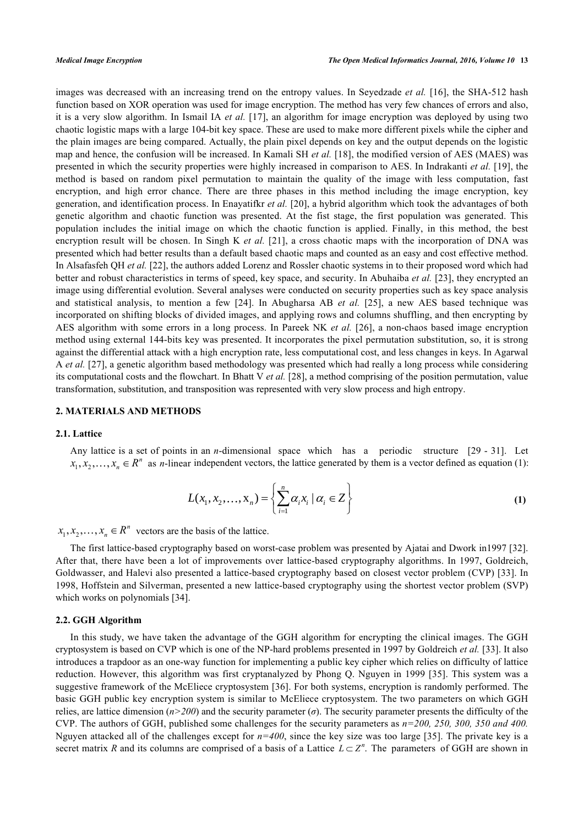images was decreased with an increasing trend on the entropy values. In Seyedzade *et al.* [[16\]](#page-10-13), the SHA-512 hash function based on XOR operation was used for image encryption. The method has very few chances of errors and also, it is a very slow algorithm. In Ismail IA *et al.* [\[17\]](#page-10-14), an algorithm for image encryption was deployed by using two chaotic logistic maps with a large 104-bit key space. These are used to make more different pixels while the cipher and the plain images are being compared. Actually, the plain pixel depends on key and the output depends on the logistic map and hence, the confusion will be increased. In Kamali SH *et al.* [[18\]](#page-10-15), the modified version of AES (MAES) was presented in which the security properties were highly increased in comparison to AES. In Indrakanti *et al.* [[19](#page-10-16)], the method is based on random pixel permutation to maintain the quality of the image with less computation, fast encryption, and high error chance. There are three phases in this method including the image encryption, key generation, and identification process. In Enayatifkr *et al.* [[20\]](#page-10-17), a hybrid algorithm which took the advantages of both genetic algorithm and chaotic function was presented. At the fist stage, the first population was generated. This population includes the initial image on which the chaotic function is applied. Finally, in this method, the best encryption result will be chosen. In Singh K *et al.* [\[21](#page-10-18)], a cross chaotic maps with the incorporation of DNA was presented which had better results than a default based chaotic maps and counted as an easy and cost effective method. In Alsafasfeh QH *et al.* [[22\]](#page-10-19), the authors added Lorenz and Rossler chaotic systems in to their proposed word which had better and robust characteristics in terms of speed, key space, and security. In Abuhaiba *et al.* [[23\]](#page-10-20), they encrypted an image using differential evolution. Several analyses were conducted on security properties such as key space analysis and statistical analysis, to mention a few[[24](#page-10-21)]. In Abugharsa AB *et al.* [\[25](#page-10-22)], a new AES based technique was incorporated on shifting blocks of divided images, and applying rows and columns shuffling, and then encrypting by AES algorithm with some errors in a long process. In Pareek NK *et al.* [[26](#page-10-23)], a non-chaos based image encryption method using external 144-bits key was presented. It incorporates the pixel permutation substitution, so, it is strong against the differential attack with a high encryption rate, less computational cost, and less changes in keys. In Agarwal A *et al.* [\[27](#page-10-24)], a genetic algorithm based methodology was presented which had really a long process while considering its computational costs and the flowchart. In Bhatt V *et al.* [\[28](#page-10-25)], a method comprising of the position permutation, value transformation, substitution, and transposition was represented with very slow process and high entropy.

# **2. MATERIALS AND METHODS**

#### **2.1. Lattice**

Any lattice is a set of points in an *n*-dimensional space which has a periodic s[truc](#page-11-0)t[ure](#page-11-1) [29 - 31]. Let  $x_1, x_2, \ldots, x_n \in \mathbb{R}^n$  as *n*-linear independent vectors, the lattice generated by them is a vector defined as equation (1):

$$
L(x_1, x_2, \dots, x_n) = \left\{ \sum_{i=1}^n \alpha_i x_i \mid \alpha_i \in Z \right\}
$$
 (1)

 $x_1, x_2, \ldots, x_n \in \mathbb{R}^n$  vectors are the basis of the lattice.

The first lattice-based cryptography based on worst-case problem was presented by Ajatai and Dwork in1997 [[32\]](#page-11-2). After that, there have been a lot of improvements over lattice-based cryptography algorithms. In 1997, Goldreich, Goldwasser, and Halevi also presented a lattice-based cryptography based on closest vector problem (CVP) [[33](#page-11-3)]. In 1998, Hoffstein and Silverman, presented a new lattice-based cryptography using the shortest vector problem (SVP) which works on polynomials [\[34](#page-11-4)].

## **2.2. GGH Algorithm**

In this study, we have taken the advantage of the GGH algorithm for encrypting the clinical images. The GGH cryptosystem is based on CVP which is one of the NP-hard problems presented in 1997 by Goldreich *et al.* [\[33](#page-11-3)]. It also introduces a trapdoor as an one-way function for implementing a public key cipher which relies on difficulty of lattice reduction. However, this algorithm was first cryptanalyzed by Phong Q. Nguyen in 1999 [[35\]](#page-11-5). This system was a suggestive framework of the McEliece cryptosystem [[36\]](#page-11-6). For both systems, encryption is randomly performed. The basic GGH public key encryption system is similar to McEliece cryptosystem. The two parameters on which GGH relies, are lattice dimension  $(n>200)$  and the security parameter ( $\sigma$ ). The security parameter presents the difficulty of the CVP. The authors of GGH, published some challenges for the security parameters as *n=200, 250, 300, 350 and 400.* Nguyen attacked all of the challenges except for  $n=400$ , since the key size was too large [[35\]](#page-11-5). The private key is a secret matrix *R* and its columns are comprised of a basis of a Lattice  $L \subset Z^n$ . The parameters of GGH are shown in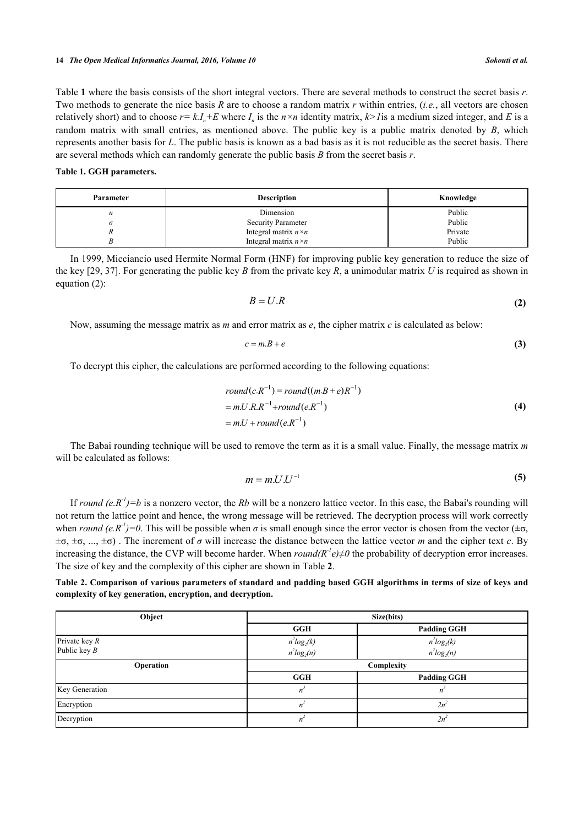#### **14** *The Open Medical Informatics Journal, 2016, Volume 10 Sokouti et al.*

Table **[1](#page-3-0)** where the basis consists of the short integral vectors. There are several methods to construct the secret basis *r*. Two methods to generate the nice basis *R* are to choose a random matrix *r* within entries, (*i.e.*, all vectors are chosen relatively short) and to choose  $r = k.I_n + E$  where  $I_n$  is the  $n \times n$  identity matrix,  $k > 1$  is a medium sized integer, and E is a random matrix with small entries, as mentioned above. The public key is a public matrix denoted by *B*, which represents another basis for *L*. The public basis is known as a bad basis as it is not reducible as the secret basis. There are several methods which can randomly generate the public basis *B* from the secret basis *r*.

## <span id="page-3-0"></span>**Table 1. GGH parameters.**

| Parameter     | <b>Description</b>           | Knowledge |
|---------------|------------------------------|-----------|
| $\mathfrak n$ | Dimension                    | Public    |
|               | <b>Security Parameter</b>    | Public    |
|               | Integral matrix $n \times n$ | Private   |
|               | Integral matrix $n \times n$ | Public    |

In 1999, Micciancio used Hermite Normal Form (HNF) for improving public key generation to reduce the size of the key [[29](#page-11-0), [37](#page-11-7)]. For generating the public key *B* from the private key *R*, a unimodular matrix *U* is required as shown in equation (2):

$$
B = U.R \tag{2}
$$

Now, assuming the message matrix as *m* and error matrix as *e*, the cipher matrix *c* is calculated as below:

$$
c = m.B + e \tag{3}
$$

To decrypt this cipher, the calculations are performed according to the following equations:

$$
round(c.R^{-1}) = round((m.B + e)R^{-1})
$$
  
= m.U.R.R<sup>-1</sup>+round(e.R<sup>-1</sup>)  
= m.U + round(e.R<sup>-1</sup>) (4)

The Babai rounding technique will be used to remove the term as it is a small value. Finally, the message matrix *m* will be calculated as follows:

$$
m = m.U.U^{-1}
$$
 (5)

If *round*  $(e, R<sup>1</sup>) = b$  is a nonzero vector, the *Rb* will be a nonzero lattice vector. In this case, the Babai's rounding will not return the lattice point and hence, the wrong message will be retrieved. The decryption process will work correctly when *round (e.R<sup>-1</sup>)*=0. This will be possible when  $\sigma$  is small enough since the error vector is chosen from the vector ( $\pm \sigma$ ,  $\pm\sigma$ ,  $\pm\sigma$ , ...,  $\pm\sigma$ ). The increment of  $\sigma$  will increase the distance between the lattice vector *m* and the cipher text *c*. By increasing the distance, the CVP will become harder. When  $round(R<sup>1</sup>e) \neq 0$  the probability of decryption error increases. The size of key and the complexity of this cipher are shown in Table **[2](#page-3-1)**.

<span id="page-3-1"></span>**Table 2. Comparison of various parameters of standard and padding based GGH algorithms in terms of size of keys and complexity of key generation, encryption, and decryption.**

| Object                            | Size(bits)                     |                                |  |
|-----------------------------------|--------------------------------|--------------------------------|--|
|                                   | <b>GGH</b>                     | <b>Padding GGH</b>             |  |
| Private key $R$<br>Public key $B$ | $n^2log_2(k)$<br>$n^2log_2(n)$ | $n^2log_2(k)$<br>$n^2log_2(n)$ |  |
| Operation                         |                                | Complexity                     |  |
|                                   | <b>GGH</b>                     | <b>Padding GGH</b>             |  |
| Key Generation                    | n                              | n                              |  |
| Encryption                        | n                              | $2n^2$                         |  |
| Decryption                        | n                              | $2n^2$                         |  |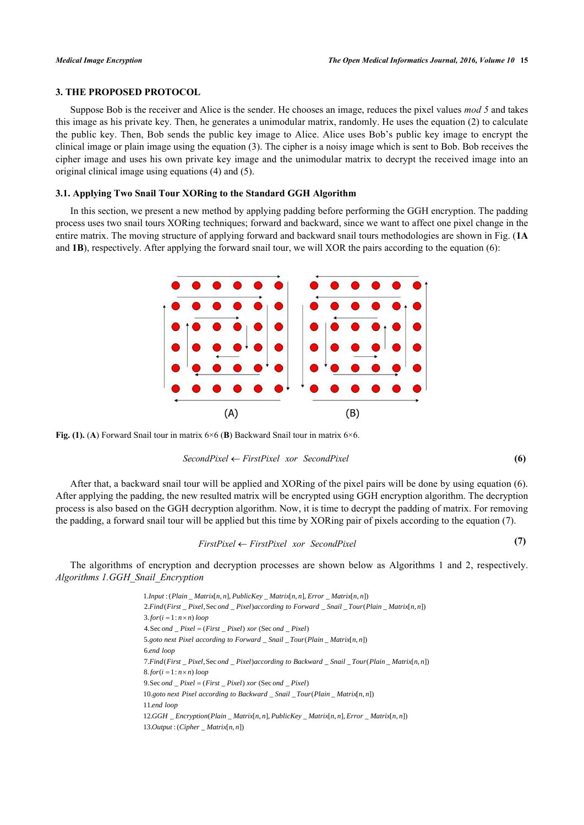# **3. THE PROPOSED PROTOCOL**

Suppose Bob is the receiver and Alice is the sender. He chooses an image, reduces the pixel values *mod 5* and takes this image as his private key. Then, he generates a unimodular matrix, randomly. He uses the equation (2) to calculate the public key. Then, Bob sends the public key image to Alice. Alice uses Bob's public key image to encrypt the clinical image or plain image using the equation (3). The cipher is a noisy image which is sent to Bob. Bob receives the cipher image and uses his own private key image and the unimodular matrix to decrypt the received image into an original clinical image using equations (4) and (5).

# **3.1. Applying Two Snail Tour XORing to the Standard GGH Algorithm**

<span id="page-4-0"></span>In this section, we present a new method by applying padding before performing the GGH encryption. The padding process uses two snail tours XORing techniques; forward and backward, since we want to affect one pixel change in the entire matrix. The moving structure of applying forward and backward snail tours methodologies are shown in Fig. (**[1A](#page-4-0)** and **[1B](#page-4-0)**), respectively. After applying the forward snail tour, we will XOR the pairs according to the equation (6):



**Fig. (1). (A)** Forward Snail tour in matrix  $6\times6$  (**B**) Backward Snail tour in matrix  $6\times6$ .

#### *SecondPixel FirstPixel xor SecondPixel*

**(6)**

After that, a backward snail tour will be applied and XORing of the pixel pairs will be done by using equation (6). After applying the padding, the new resulted matrix will be encrypted using GGH encryption algorithm. The decryption process is also based on the GGH decryption algorithm. Now, it is time to decrypt the padding of matrix. For removing the padding, a forward snail tour will be applied but this time by XORing pair of pixels according to the equation (7).

$$
Firstpixel \leftarrow Firstpixel \, \text{xor} \, \, Secondpixel \tag{7}
$$

The algorithms of encryption and decryption processes are shown below as Algorithms 1 and 2, respectively. *Algorithms 1.GGH\_Snail\_Encryption*

> $1.$ *Input* : ( $P$ *lain*  $\_$ *Matrix* $[n, n]$ ,  $P$ *ublicKey*  $\_$ *Matrix* $[n, n]$ ,  $Error$  $\_$ *Matrix* $[n, n]$ ) 2. Find (First \_ Pixel, Sec ond \_ Pixel) according to Forward \_ Snail \_ Tour (Plain \_ Matrix[n, n])  $3.$  *for*  $(i = 1 : n \times n)$  *loop* 4. Sec ond \_ Pixel = (First \_ Pixel) xor (Sec ond \_ Pixel) 5.goto next Pixel according to Forward \_ Snail \_ Tour(Plain \_ Matrix[n, n]) 6. *end loop* 7. Find (First \_ Pixel, Sec ond \_ Pixel) according to Backward \_ Snail \_ Tour (Plain \_ Matrix[n, n])  $8.$ *for*( $i = 1 : n \times n$ ) loop  $9. \text{Sec} \text{ and }$   $Pixel = (First \text{ } Pixel) \text{ for } (\text{Sec} \text{ and } \text{ } Pixel)$ 10. goto next Pixel according to Backward \_ Snail \_ Tour(Plain \_ Matrix[n, n]) 11. *end loop*  $12.GGH$  *\_Encryption* (Plain *\_Matrix*[n, n], PublicKey \_Matrix[n, n], Error \_Matrix[n, n])  $13. Output : (Cipher\_Matrix[n, n])$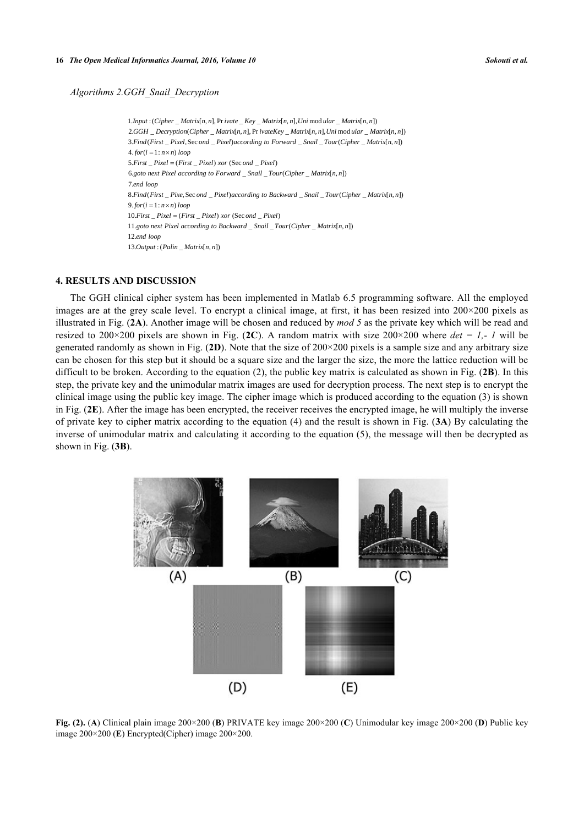### *Algorithms 2.GGH\_Snail\_Decryption*

 $1.$ *Input* : (*Cipher*  $\_$  *Matrix* $[n, n]$ , Private  $\_$  *Key*  $\_$  *Matrix* $[n, n]$ , *Uni* mod ular  $\_$  *Matrix* $[n, n]$ )  $2.GGH\_Decryption(Cipher\_Matrix[n, n], PrivateKey\_Matrix[n, n], Uni mod ular\_Matrix[n, n])$ 3. Find(First \_ Pixel, Sec ond \_ Pixel)according to Forward \_ Snail \_ Tour(Cipher \_ Matrix[n, n])  $4. for (i = 1 : n \times n) loop$  $5. First$   $Pixel = (First$   $Pixel)$  *xor*  $(Sec$  *ond*  $Pixel)$ 6. \_ \_ ( \_ [ , ]) *goto next Pixel according to Forward Snail Tour Cipher Matrix n n* 7. *en d loop* 8. Find (First \_ Pixe, Sec ond \_ Pixel) according to Backward \_ Snail \_ Tour (Cipher \_ Matrix[n, n])  $9.$  *for*  $(i = 1 : n \times n)$  *loop*  $10. First$   $Pixel = (First$   $Pixel)$  *xor*  $(Sec$  *ond*  $Pixel)$ 11.goto next Pixel according to Backward \_ Snail \_ Tour(Cipher \_ Matrix[n, n]) 12. *end loop*  $13. Output : (Palin\_Matrix[n, n])$ 

# **4. RESULTS AND DISCUSSION**

The GGH clinical cipher system has been implemented in Matlab 6.5 programming software. All the employed images are at the grey scale level. To encrypt a clinical image, at first, it has been resized into  $200\times200$  pixels as illustrated in Fig. (**[2A](#page-5-0)**). Another image will be chosen and reduced by *mod 5* as the private key which will be read and resized to 200×200 pixels are shown in Fig. ([2C](#page-5-0)). A random matrix with size  $200\times200$  where  $det = 1$ , I will be generated randomly as shown in Fig. (**[2D](#page-5-0)**). Note that the size of 200×200 pixels is a sample size and any arbitrary size can be chosen for this step but it should be a square size and the larger the size, the more the lattice reduction will be difficult to be broken. According to the equation (2), the public key matrix is calculated as shown in Fig. (**[2B](#page-5-0)**). In this step, the private key and the unimodular matrix images are used for decryption process. The next step is to encrypt the clinical image using the public key image. The cipher image which is produced according to the equation (3) is shown in Fig. (**[2E](#page-5-0)**). After the image has been encrypted, the receiver receives the encrypted image, he will multiply the inverse of private key to cipher matrix according to the equation (4) and the result is shown in Fig. (**[3A](#page-5-1)**) By calculating the inverse of unimodular matrix and calculating it according to the equation (5), the message will then be decrypted as shown in Fig. (**[3B](#page-5-1)**).

<span id="page-5-0"></span>

<span id="page-5-1"></span>**Fig. (2).** (**A**) Clinical plain image 200×200 (**B**) PRIVATE key image 200×200 (**C**) Unimodular key image 200×200 (**D**) Public key image 200×200 (**E**) Encrypted(Cipher) image 200×200.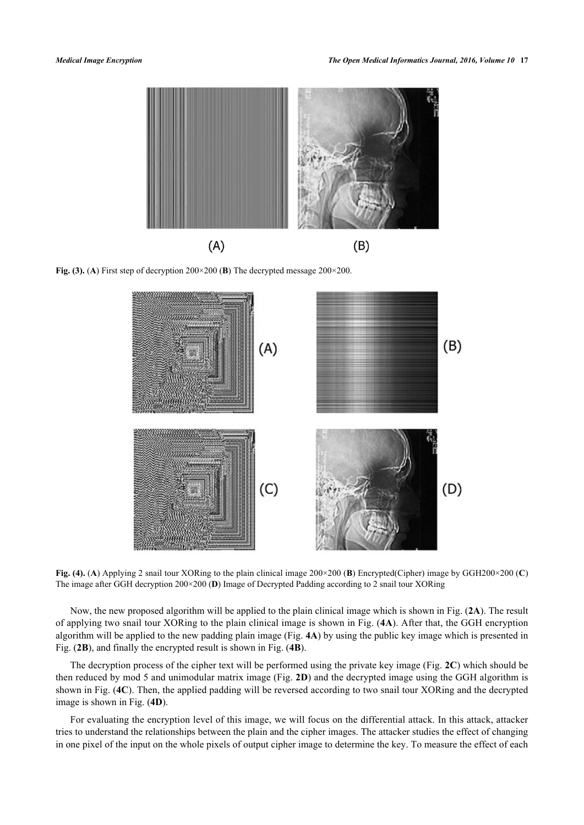

<span id="page-6-0"></span>**Fig. (3). (A)** First step of decryption  $200 \times 200$  (**B**) The decrypted message  $200 \times 200$ .



**Fig. (4).** (**A**) Applying 2 snail tour XORing to the plain clinical image 200×200 (**B**) Encrypted(Cipher) image by GGH200×200 (**C**) The image after GGH decryption 200×200 (**D**) Image of Decrypted Padding according to 2 snail tour XORing

Now, the new proposed algorithm will be applied to the plain clinical image which is shown in Fig. (**[2A](#page-5-0)**). The result of applying two snail tour XORing to the plain clinical image is shown in Fig. (**[4A](#page-6-0)**). After that, the GGH encryption algorithm will be applied to the new padding plain image (Fig. **[4A](#page-6-0)**) by using the public key image which is presented in Fig. (**[2B](#page-5-0)**), and finally the encrypted result is shown in Fig. (**[4B](#page-6-0)**).

The decryption process of the cipher text will be performed using the private key image (Fig. **[2C](#page-5-0)**) which should be then reduced by mod 5 and unimodular matrix image (Fig. **[2D](#page-5-0)**) and the decrypted image using the GGH algorithm is shown in Fig. (**[4C](#page-6-0)**). Then, the applied padding will be reversed according to two snail tour XORing and the decrypted image is shown in Fig. (**[4D](#page-6-0)**).

For evaluating the encryption level of this image, we will focus on the differential attack. In this attack, attacker tries to understand the relationships between the plain and the cipher images. The attacker studies the effect of changing in one pixel of the input on the whole pixels of output cipher image to determine the key. To measure the effect of each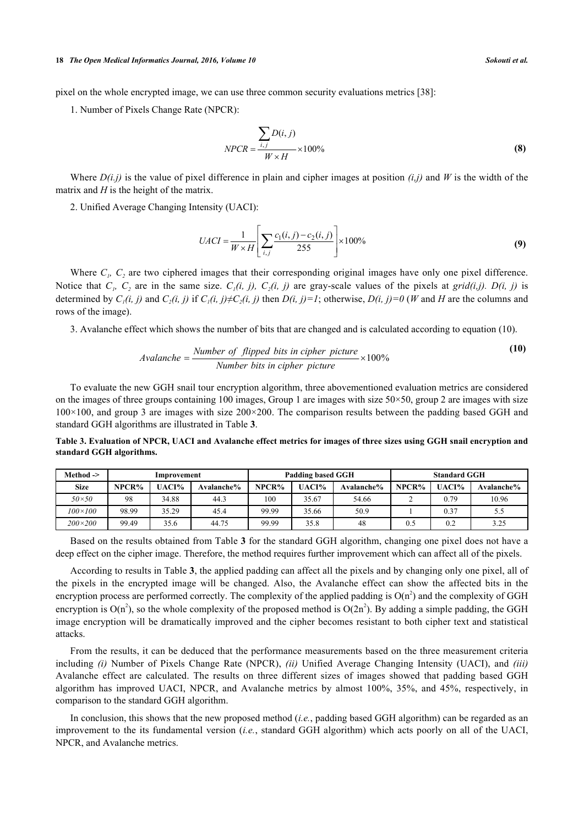pixel on the whole encrypted image, we can use three common security evaluations metrics [[38\]](#page-11-8):

1. Number of Pixels Change Rate (NPCR):

$$
NPCR = \frac{\sum_{i,j} D(i,j)}{W \times H} \times 100\%
$$
 (8)

Where  $D(i, j)$  is the value of pixel difference in plain and cipher images at position  $(i, j)$  and *W* is the width of the matrix and *H* is the height of the matrix.

2. Unified Average Changing Intensity (UACI):

$$
UACI = \frac{1}{W \times H} \left[ \sum_{i,j} \frac{c_1(i,j) - c_2(i,j)}{255} \right] \times 100\%
$$
 (9)

Where  $C<sub>1</sub>$ ,  $C<sub>2</sub>$  are two ciphered images that their corresponding original images have only one pixel difference. Notice that  $C_i$ ,  $C_2$  are in the same size.  $C_i(i, j)$ ,  $C_2(i, j)$  are gray-scale values of the pixels at *grid(i,j)*.  $D(i, j)$  is determined by  $C_1(i, j)$  and  $C_2(i, j)$  if  $C_1(i, j) \neq C_2(i, j)$  then  $D(i, j) = 1$ ; otherwise,  $D(i, j) = 0$  (*W* and *H* are the columns and rows of the image).

3. Avalanche effect which shows the number of bits that are changed and is calculated according to equation (10).

*Available* = 
$$
\frac{Number\ of\ flipped\ bits\ in\ cipher\ picture}{Number\ bits\ in\ cipher\ picture} \times 100\%
$$
 (10)

To evaluate the new GGH snail tour encryption algorithm, three abovementioned evaluation metrics are considered on the images of three groups containing 100 images, Group 1 are images with size  $50 \times 50$ , group 2 are images with size  $100\times100$ , and group 3 are images with size  $200\times200$ . The comparison results between the padding based GGH and standard GGH algorithms are illustrated in Table **[3](#page-7-0)**.

<span id="page-7-0"></span>**Table 3. Evaluation of NPCR, UACI and Avalanche effect metrics for images of three sizes using GGH snail encryption and standard GGH algorithms.**

| Method ->        | Improvement |       | Padding based GGH |       | <b>Standard GGH</b> |            |       |       |            |
|------------------|-------------|-------|-------------------|-------|---------------------|------------|-------|-------|------------|
| <b>Size</b>      | NPCR%       | UACI% | Avalanche%        | NPCR% | UACI%               | Avalanche% | NPCR% | UACI% | Avalanche% |
| $50\times50$     | 98          | 34.88 | 44.3              | 100   | 35.67               | 54.66      |       | 0.79  | 10.96      |
| $100 \times 100$ | 98.99       | 35.29 | 45.4              | 99.99 | 35.66               | 50.9       |       | 0.37  | 5.5        |
| $200\times200$   | 99.49       | 35.6  | 44.75             | 99.99 | 35.8                | 48         | 0.5   | 0.2   | 3.25       |

Based on the results obtained from Table **[3](#page-7-0)** for the standard GGH algorithm, changing one pixel does not have a deep effect on the cipher image. Therefore, the method requires further improvement which can affect all of the pixels.

According to results in Table **[3](#page-7-0)**, the applied padding can affect all the pixels and by changing only one pixel, all of the pixels in the encrypted image will be changed. Also, the Avalanche effect can show the affected bits in the encryption process are performed correctly. The complexity of the applied padding is  $O(n^2)$  and the complexity of GGH encryption is  $O(n^2)$ , so the whole complexity of the proposed method is  $O(2n^2)$ . By adding a simple padding, the GGH image encryption will be dramatically improved and the cipher becomes resistant to both cipher text and statistical attacks.

From the results, it can be deduced that the performance measurements based on the three measurement criteria including *(i)* Number of Pixels Change Rate (NPCR), *(ii)* Unified Average Changing Intensity (UACI), and *(iii)* Avalanche effect are calculated. The results on three different sizes of images showed that padding based GGH algorithm has improved UACI, NPCR, and Avalanche metrics by almost 100%, 35%, and 45%, respectively, in comparison to the standard GGH algorithm.

In conclusion, this shows that the new proposed method (*i.e.*, padding based GGH algorithm) can be regarded as an improvement to the its fundamental version (*i.e.*, standard GGH algorithm) which acts poorly on all of the UACI, NPCR, and Avalanche metrics.

**(10)**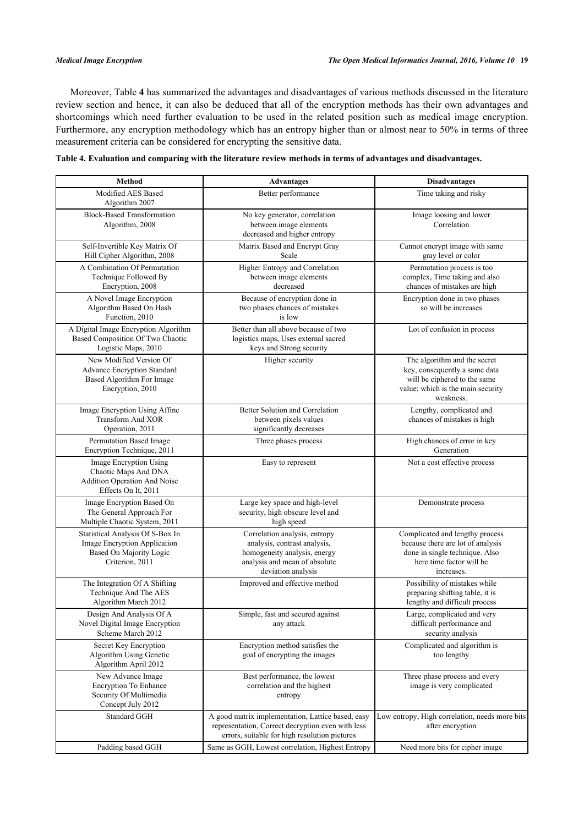Moreover, Table **[4](#page-8-0)** has summarized the advantages and disadvantages of various methods discussed in the literature review section and hence, it can also be deduced that all of the encryption methods has their own advantages and shortcomings which need further evaluation to be used in the related position such as medical image encryption. Furthermore, any encryption methodology which has an entropy higher than or almost near to 50% in terms of three measurement criteria can be considered for encrypting the sensitive data.

<span id="page-8-0"></span>

| Table 4. Evaluation and comparing with the literature review methods in terms of advantages and disadvantages. |  |  |
|----------------------------------------------------------------------------------------------------------------|--|--|
|                                                                                                                |  |  |
|                                                                                                                |  |  |

| <b>Method</b>                                                                                                  | <b>Advantages</b>                                                                                                                                       | <b>Disadvantages</b>                                                                                                                             |  |
|----------------------------------------------------------------------------------------------------------------|---------------------------------------------------------------------------------------------------------------------------------------------------------|--------------------------------------------------------------------------------------------------------------------------------------------------|--|
| Modified AES Based<br>Algorithm 2007                                                                           | Better performance                                                                                                                                      | Time taking and risky                                                                                                                            |  |
| <b>Block-Based Transformation</b><br>Algorithm, 2008                                                           | No key generator, correlation<br>between image elements<br>decreased and higher entropy                                                                 | Image loosing and lower<br>Correlation                                                                                                           |  |
| Self-Invertible Key Matrix Of<br>Hill Cipher Algorithm, 2008                                                   | Matrix Based and Encrypt Gray<br>Scale                                                                                                                  | Cannot encrypt image with same<br>gray level or color                                                                                            |  |
| A Combination Of Permutation<br>Technique Followed By<br>Encryption, 2008                                      | Higher Entropy and Correlation<br>between image elements<br>decreased                                                                                   | Permutation process is too<br>complex, Time taking and also<br>chances of mistakes are high                                                      |  |
| A Novel Image Encryption<br>Algorithm Based On Hash<br>Function, 2010                                          | Because of encryption done in<br>two phases chances of mistakes<br>is low                                                                               | Encryption done in two phases<br>so will be increases                                                                                            |  |
| A Digital Image Encryption Algorithm<br>Based Composition Of Two Chaotic<br>Logistic Maps, 2010                | Better than all above because of two<br>logistics maps, Uses external sacred<br>keys and Strong security                                                | Lot of confusion in process                                                                                                                      |  |
| New Modified Version Of<br>Advance Encryption Standard<br>Based Algorithm For Image<br>Encryption, 2010        | Higher security                                                                                                                                         | The algorithm and the secret<br>key, consequently a same data<br>will be ciphered to the same<br>value; which is the main security<br>weakness.  |  |
| Image Encryption Using Affine<br><b>Transform And XOR</b><br>Operation, 2011                                   | Better Solution and Correlation<br>between pixels values<br>significantly decreases                                                                     | Lengthy, complicated and<br>chances of mistakes is high                                                                                          |  |
| Permutation Based Image<br>Encryption Technique, 2011                                                          | Three phases process                                                                                                                                    | High chances of error in key<br>Generation                                                                                                       |  |
| Image Encryption Using<br>Chaotic Maps And DNA<br>Addition Operation And Noise<br>Effects On It, 2011          | Easy to represent                                                                                                                                       | Not a cost effective process                                                                                                                     |  |
| Image Encryption Based On<br>The General Approach For<br>Multiple Chaotic System, 2011                         | Large key space and high-level<br>security, high obscure level and<br>high speed                                                                        | Demonstrate process                                                                                                                              |  |
| Statistical Analysis Of S-Box In<br>Image Encryption Application<br>Based On Majority Logic<br>Criterion, 2011 | Correlation analysis, entropy<br>analysis, contrast analysis,<br>homogeneity analysis, energy<br>analysis and mean of absolute<br>deviation analysis    | Complicated and lengthy process<br>because there are lot of analysis<br>done in single technique. Also<br>here time factor will be<br>increases. |  |
| The Integration Of A Shifting<br>Technique And The AES<br>Algorithm March 2012                                 | Improved and effective method                                                                                                                           | Possibility of mistakes while<br>preparing shifting table, it is<br>lengthy and difficult process                                                |  |
| Design And Analysis Of A<br>Novel Digital Image Encryption<br>Scheme March 2012                                | Simple, fast and secured against<br>any attack                                                                                                          | Large, complicated and very<br>difficult performance and<br>security analysis                                                                    |  |
| Secret Key Encryption<br>Algorithm Using Genetic<br>Algorithm April 2012                                       | Encryption method satisfies the<br>goal of encrypting the images                                                                                        | Complicated and algorithm is<br>too lengthy                                                                                                      |  |
| New Advance Image<br><b>Encryption To Enhance</b><br>Security Of Multimedia<br>Concept July 2012               | Best performance, the lowest<br>correlation and the highest<br>entropy                                                                                  | Three phase process and every<br>image is very complicated                                                                                       |  |
| <b>Standard GGH</b>                                                                                            | A good matrix implementation, Lattice based, easy<br>representation, Correct decryption even with less<br>errors, suitable for high resolution pictures | Low entropy, High correlation, needs more bits<br>after encryption                                                                               |  |
| Padding based GGH                                                                                              | Same as GGH, Lowest correlation, Highest Entropy                                                                                                        | Need more bits for cipher image                                                                                                                  |  |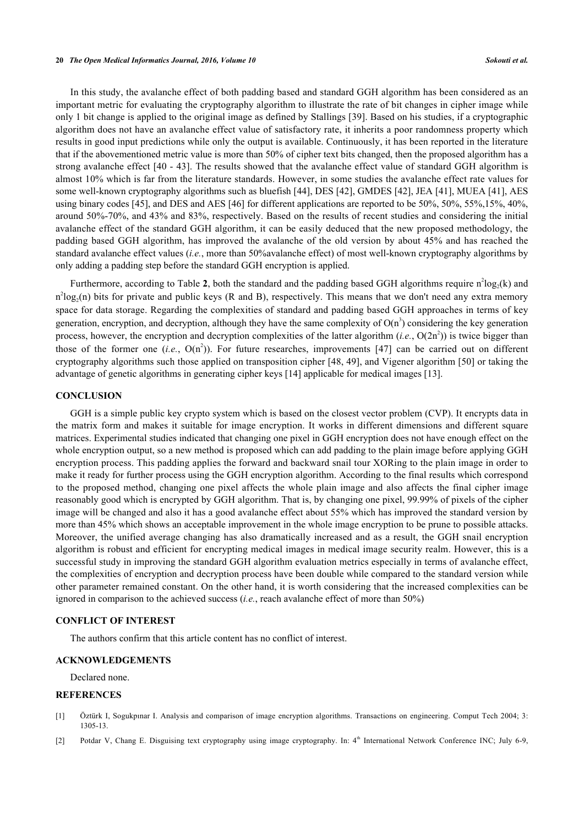#### **20** *The Open Medical Informatics Journal, 2016, Volume 10 Sokouti et al.*

In this study, the avalanche effect of both padding based and standard GGH algorithm has been considered as an important metric for evaluating the cryptography algorithm to illustrate the rate of bit changes in cipher image while only 1 bit change is applied to the original image as defined by Stallings [[39\]](#page-11-9). Based on his studies, if a cryptographic algorithm does not have an avalanche effect value of satisfactory rate, it inherits a poor randomness property which results in good input predictions while only the output is available. Continuously, it has been reported in the literature that if the abovementioned metric value is more than 50% of cipher text bits changed, then the proposed algorithm has a strong avalanche effect [[40](#page-11-10) - [43](#page-11-11)]. The results showed that the avalanche effect value of standard GGH algorithm is almost 10% which is far from the literature standards. However, in some studies the avalanche effect rate values for some well-known cryptography algorithms such as bluefish [[44\]](#page-11-12), DES [\[42](#page-11-13)], GMDES [[42\]](#page-11-13), JEA [\[41](#page-11-14)], MUEA [\[41](#page-11-14)], AES using binary codes [[45\]](#page-11-15), and DES and AES [\[46](#page-11-16)] for different applications are reported to be 50%, 50%, 55%,15%, 40%, around 50%-70%, and 43% and 83%, respectively. Based on the results of recent studies and considering the initial avalanche effect of the standard GGH algorithm, it can be easily deduced that the new proposed methodology, the padding based GGH algorithm, has improved the avalanche of the old version by about 45% and has reached the standard avalanche effect values (*i.e.*, more than 50%avalanche effect) of most well-known cryptography algorithms by only adding a padding step before the standard GGH encryption is applied.

Furthermore, according to Table [2](#page-3-1), both the standard and the padding based GGH algorithms require  $n^2 \text{log}_2(k)$  and  $n^2 \log_2(n)$  bits for private and public keys (R and B), respectively. This means that we don't need any extra memory space for data storage. Regarding the complexities of standard and padding based GGH approaches in terms of key generation, encryption, and decryption, although they have the same complexity of  $O(n^3)$  considering the key generation process, however, the encryption and decryption complexities of the latter algorithm  $(i.e., O(2n^2))$  is twice bigger than thoseof the former one  $(i.e., O(n^2))$ . For future researches, improvements [[47](#page-11-17)] can be carried out on different cryptography algorithms such those applied on transposition cipher [[48,](#page-11-18) [49](#page-11-19)], and Vigener algorithm [[50\]](#page-11-20) or taking the advantage of genetic algorithms in generating cipher keys [[14\]](#page-10-11) applicable for medical images [[13\]](#page-10-10).

#### **CONCLUSION**

GGH is a simple public key crypto system which is based on the closest vector problem (CVP). It encrypts data in the matrix form and makes it suitable for image encryption. It works in different dimensions and different square matrices. Experimental studies indicated that changing one pixel in GGH encryption does not have enough effect on the whole encryption output, so a new method is proposed which can add padding to the plain image before applying GGH encryption process. This padding applies the forward and backward snail tour XORing to the plain image in order to make it ready for further process using the GGH encryption algorithm. According to the final results which correspond to the proposed method, changing one pixel affects the whole plain image and also affects the final cipher image reasonably good which is encrypted by GGH algorithm. That is, by changing one pixel, 99.99% of pixels of the cipher image will be changed and also it has a good avalanche effect about 55% which has improved the standard version by more than 45% which shows an acceptable improvement in the whole image encryption to be prune to possible attacks. Moreover, the unified average changing has also dramatically increased and as a result, the GGH snail encryption algorithm is robust and efficient for encrypting medical images in medical image security realm. However, this is a successful study in improving the standard GGH algorithm evaluation metrics especially in terms of avalanche effect, the complexities of encryption and decryption process have been double while compared to the standard version while other parameter remained constant. On the other hand, it is worth considering that the increased complexities can be ignored in comparison to the achieved success (*i.e.*, reach avalanche effect of more than 50%)

#### **CONFLICT OF INTEREST**

The authors confirm that this article content has no conflict of interest.

# **ACKNOWLEDGEMENTS**

Declared none.

# **REFERENCES**

- <span id="page-9-0"></span>[1] Öztürk I, Sogukpınar I. Analysis and comparison of image encryption algorithms. Transactions on engineering. Comput Tech 2004; 3: 1305-13.
- <span id="page-9-1"></span>[2] Potdar V, Chang E. Disguising text cryptography using image cryptography. In: 4th International Network Conference INC; July 6-9,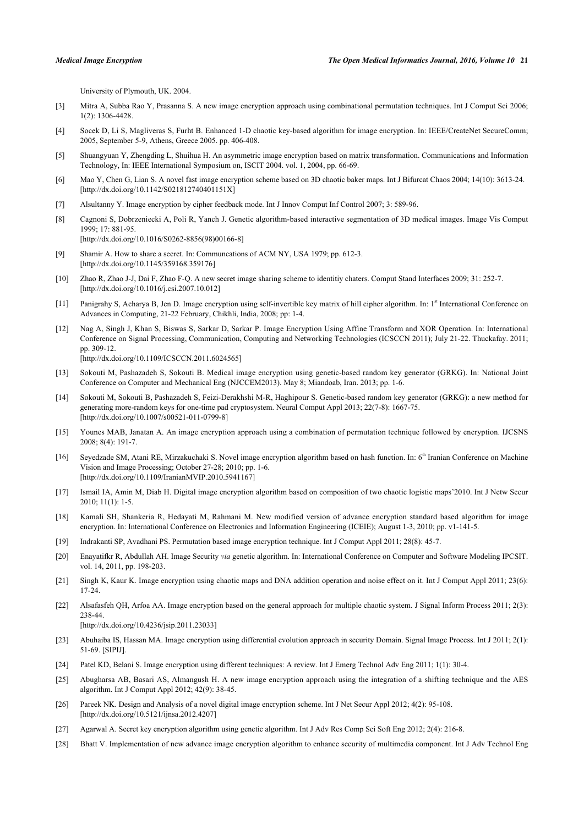University of Plymouth, UK. 2004.

- <span id="page-10-0"></span>[3] Mitra A, Subba Rao Y, Prasanna S. A new image encryption approach using combinational permutation techniques. Int J Comput Sci 2006; 1(2): 1306-4428.
- <span id="page-10-1"></span>[4] Socek D, Li S, Magliveras S, Furht B. Enhanced 1-D chaotic key-based algorithm for image encryption. In: IEEE/CreateNet SecureComm; 2005, September 5-9, Athens, Greece 2005. pp. 406-408.
- <span id="page-10-2"></span>[5] Shuangyuan Y, Zhengding L, Shuihua H. An asymmetric image encryption based on matrix transformation. Communications and Information Technology, In: IEEE International Symposium on, ISCIT 2004. vol. 1, 2004, pp. 66-69.
- <span id="page-10-3"></span>[6] Mao Y, Chen G, Lian S. A novel fast image encryption scheme based on 3D chaotic baker maps. Int J Bifurcat Chaos 2004; 14(10): 3613-24. [\[http://dx.doi.org/10.1142/S021812740401151X](http://dx.doi.org/10.1142/S021812740401151X)]
- <span id="page-10-4"></span>[7] Alsultanny Y. Image encryption by cipher feedback mode. Int J Innov Comput Inf Control 2007; 3: 589-96.
- <span id="page-10-5"></span>[8] Cagnoni S, Dobrzeniecki A, Poli R, Yanch J. Genetic algorithm-based interactive segmentation of 3D medical images. Image Vis Comput 1999; 17: 881-95. [\[http://dx.doi.org/10.1016/S0262-8856\(98\)00166-8\]](http://dx.doi.org/10.1016/S0262-8856(98)00166-8)
- <span id="page-10-6"></span>[9] Shamir A. How to share a secret. In: Communcations of ACM NY, USA 1979; pp. 612-3. [\[http://dx.doi.org/10.1145/359168.359176\]](http://dx.doi.org/10.1145/359168.359176)
- <span id="page-10-7"></span>[10] Zhao R, Zhao J-J, Dai F, Zhao F-Q. A new secret image sharing scheme to identitiy chaters. Comput Stand Interfaces 2009; 31: 252-7. [\[http://dx.doi.org/10.1016/j.csi.2007.10.012\]](http://dx.doi.org/10.1016/j.csi.2007.10.012)
- <span id="page-10-8"></span>[11] Panigrahy S, Acharya B, Jen D. Image encryption using self-invertible key matrix of hill cipher algorithm. In: 1st International Conference on Advances in Computing, 21-22 February, Chikhli, India, 2008; pp: 1-4.
- <span id="page-10-9"></span>[12] Nag A, Singh J, Khan S, Biswas S, Sarkar D, Sarkar P. Image Encryption Using Affine Transform and XOR Operation. In: International Conference on Signal Processing, Communication, Computing and Networking Technologies (ICSCCN 2011); July 21-22. Thuckafay. 2011; pp. 309-12. [\[http://dx.doi.org/10.1109/ICSCCN.2011.6024565\]](http://dx.doi.org/10.1109/ICSCCN.2011.6024565)
- <span id="page-10-10"></span>[13] Sokouti M, Pashazadeh S, Sokouti B. Medical image encryption using genetic-based random key generator (GRKG). In: National Joint Conference on Computer and Mechanical Eng (NJCCEM2013). May 8; Miandoab, Iran. 2013; pp. 1-6.
- <span id="page-10-11"></span>[14] Sokouti M, Sokouti B, Pashazadeh S, Feizi-Derakhshi M-R, Haghipour S. Genetic-based random key generator (GRKG): a new method for generating more-random keys for one-time pad cryptosystem. Neural Comput Appl 2013; 22(7-8): 1667-75. [\[http://dx.doi.org/10.1007/s00521-011-0799-8\]](http://dx.doi.org/10.1007/s00521-011-0799-8)
- <span id="page-10-12"></span>[15] Younes MAB, Janatan A. An image encryption approach using a combination of permutation technique followed by encryption. IJCSNS 2008; 8(4): 191-7.
- <span id="page-10-13"></span>[16] Seyedzade SM, Atani RE, Mirzakuchaki S, Novel image encryption algorithm based on hash function. In: 6<sup>th</sup> Iranian Conference on Machine Vision and Image Processing; October 27-28; 2010; pp. 1-6. [\[http://dx.doi.org/10.1109/IranianMVIP.2010.5941167](http://dx.doi.org/10.1109/IranianMVIP.2010.5941167)]
- <span id="page-10-14"></span>[17] Ismail IA, Amin M, Diab H. Digital image encryption algorithm based on composition of two chaotic logistic maps'2010. Int J Netw Secur 2010; 11(1): 1-5.
- <span id="page-10-15"></span>[18] Kamali SH, Shankeria R, Hedayati M, Rahmani M. New modified version of advance encryption standard based algorithm for image encryption. In: International Conference on Electronics and Information Engineering (ICEIE); August 1-3, 2010; pp. v1-141-5.
- <span id="page-10-16"></span>[19] Indrakanti SP, Avadhani PS. Permutation based image encryption technique. Int J Comput Appl 2011; 28(8): 45-7.
- <span id="page-10-17"></span>[20] Enayatifkr R, Abdullah AH. Image Security *via* genetic algorithm. In: International Conference on Computer and Software Modeling IPCSIT. vol. 14, 2011, pp. 198-203.
- <span id="page-10-18"></span>[21] Singh K, Kaur K. Image encryption using chaotic maps and DNA addition operation and noise effect on it. Int J Comput Appl 2011; 23(6): 17-24.
- <span id="page-10-19"></span>[22] Alsafasfeh QH, Arfoa AA. Image encryption based on the general approach for multiple chaotic system. J Signal Inform Process 2011; 2(3): 238-44.

[\[http://dx.doi.org/10.4236/jsip.2011.23033](http://dx.doi.org/10.4236/jsip.2011.23033)]

- <span id="page-10-20"></span>[23] Abuhaiba IS, Hassan MA. Image encryption using differential evolution approach in security Domain. Signal Image Process. Int J 2011; 2(1): 51-69. [SIPIJ].
- <span id="page-10-21"></span>[24] Patel KD, Belani S. Image encryption using different techniques: A review. Int J Emerg Technol Adv Eng 2011; 1(1): 30-4.
- <span id="page-10-22"></span>[25] Abugharsa AB, Basari AS, Almangush H. A new image encryption approach using the integration of a shifting technique and the AES algorithm. Int J Comput Appl 2012; 42(9): 38-45.
- <span id="page-10-23"></span>[26] Pareek NK. Design and Analysis of a novel digital image encryption scheme. Int J Net Secur Appl 2012; 4(2): 95-108. [\[http://dx.doi.org/10.5121/ijnsa.2012.4207\]](http://dx.doi.org/10.5121/ijnsa.2012.4207)
- <span id="page-10-24"></span>[27] Agarwal A. Secret key encryption algorithm using genetic algorithm. Int J Adv Res Comp Sci Soft Eng 2012; 2(4): 216-8.
- <span id="page-10-25"></span>[28] Bhatt V. Implementation of new advance image encryption algorithm to enhance security of multimedia component. Int J Adv Technol Eng